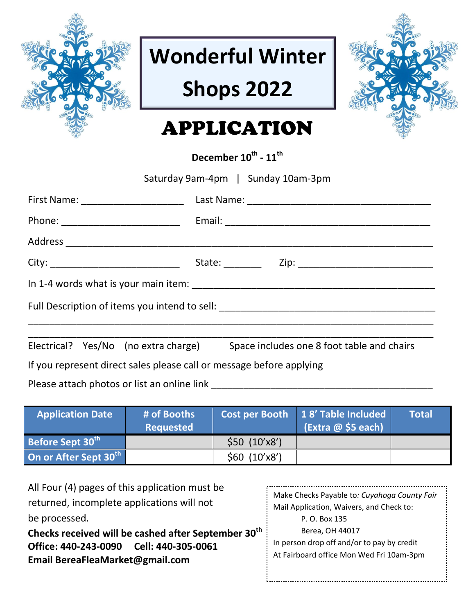

# **Wonderful Winter**

## **Shops 2022**



## APPLICATION

**December 10 th - 11 th** 

| Saturday 9am-4pm   Sunday 10am-3pm                                               |                                                                                 |  |  |  |
|----------------------------------------------------------------------------------|---------------------------------------------------------------------------------|--|--|--|
|                                                                                  |                                                                                 |  |  |  |
|                                                                                  |                                                                                 |  |  |  |
|                                                                                  |                                                                                 |  |  |  |
|                                                                                  |                                                                                 |  |  |  |
|                                                                                  |                                                                                 |  |  |  |
| Full Description of items you intend to sell: __________________________________ |                                                                                 |  |  |  |
|                                                                                  | Electrical? Yes/No (no extra charge) Space includes one 8 foot table and chairs |  |  |  |
| If you represent direct sales please call or message before applying             |                                                                                 |  |  |  |

Please attach photos or list an online link \_\_\_\_\_\_\_\_\_\_\_\_\_\_\_\_\_\_\_\_\_\_\_\_\_\_\_\_\_\_\_\_\_\_\_\_\_\_\_\_\_

| <b>Application Date</b>      | # of Booths<br><b>Requested</b> |               | Cost per Booth 18' Table Included<br>$\left($ Extra @ \$5 each) | <b>Total</b> |
|------------------------------|---------------------------------|---------------|-----------------------------------------------------------------|--------------|
| Before Sept 30 <sup>th</sup> |                                 | \$50 (10'x8') |                                                                 |              |
| On or After Sept 30th        |                                 | \$60 (10'x8') |                                                                 |              |

All Four (4) pages of this application must be returned, incomplete applications will not be processed.

**Checks received will be cashed after September 30th Office: 440-243-0090 Cell: 440-305-0061 Email BereaFleaMarket@gmail.com**

| Make Checks Payable to: Cuyahoga County Fair |  |  |
|----------------------------------------------|--|--|
| Mail Application, Waivers, and Check to:     |  |  |
| P. O. Box 135                                |  |  |
| Berea, OH 44017                              |  |  |
| In person drop off and/or to pay by credit   |  |  |
| At Fairboard office Mon Wed Fri 10am-3pm     |  |  |
|                                              |  |  |
|                                              |  |  |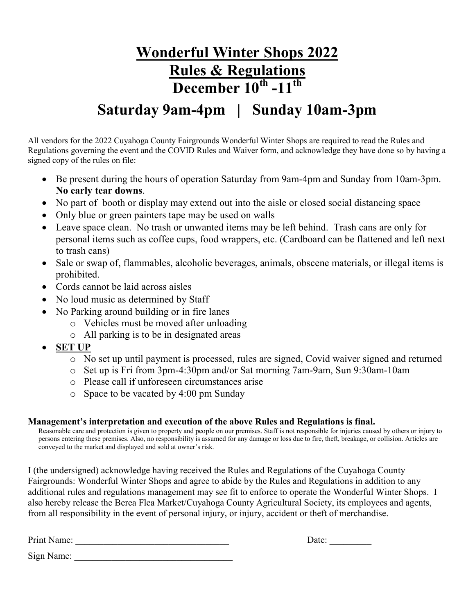### **Wonderful Winter Shops 2022 Rules & Regulations December 10th -11th**

### **Saturday 9am-4pm | Sunday 10am-3pm**

All vendors for the 2022 Cuyahoga County Fairgrounds Wonderful Winter Shops are required to read the Rules and Regulations governing the event and the COVID Rules and Waiver form, and acknowledge they have done so by having a signed copy of the rules on file:

- Be present during the hours of operation Saturday from 9am-4pm and Sunday from 10am-3pm. **No early tear downs**.
- No part of booth or display may extend out into the aisle or closed social distancing space
- Only blue or green painters tape may be used on walls
- Leave space clean. No trash or unwanted items may be left behind. Trash cans are only for personal items such as coffee cups, food wrappers, etc. (Cardboard can be flattened and left next to trash cans)
- Sale or swap of, flammables, alcoholic beverages, animals, obscene materials, or illegal items is prohibited.
- Cords cannot be laid across aisles
- No loud music as determined by Staff
- No Parking around building or in fire lanes
	- o Vehicles must be moved after unloading
	- o All parking is to be in designated areas
- **SET UP**
	- o No set up until payment is processed, rules are signed, Covid waiver signed and returned
	- o Set up is Fri from 3pm-4:30pm and/or Sat morning 7am-9am, Sun 9:30am-10am
	- o Please call if unforeseen circumstances arise
	- o Space to be vacated by 4:00 pm Sunday

#### **Management's interpretation and execution of the above Rules and Regulations is final.**

Reasonable care and protection is given to property and people on our premises. Staff is not responsible for injuries caused by others or injury to persons entering these premises. Also, no responsibility is assumed for any damage or loss due to fire, theft, breakage, or collision. Articles are conveyed to the market and displayed and sold at owner's risk.

I (the undersigned) acknowledge having received the Rules and Regulations of the Cuyahoga County Fairgrounds: Wonderful Winter Shops and agree to abide by the Rules and Regulations in addition to any additional rules and regulations management may see fit to enforce to operate the Wonderful Winter Shops. I also hereby release the Berea Flea Market/Cuyahoga County Agricultural Society, its employees and agents, from all responsibility in the event of personal injury, or injury, accident or theft of merchandise.

Print Name: \_\_\_\_\_\_\_\_\_\_\_\_\_\_\_\_\_\_\_\_\_\_\_\_\_\_\_\_\_\_\_\_\_ Date: \_\_\_\_\_\_\_\_\_

Sign Name: \_\_\_\_\_\_\_\_\_\_\_\_\_\_\_\_\_\_\_\_\_\_\_\_\_\_\_\_\_\_\_\_\_\_